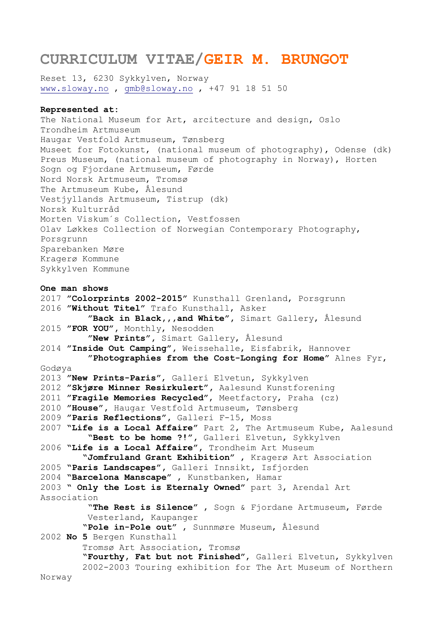# **CURRICULUM VITAE/GEIR M. BRUNGOT**

Reset 13, 6230 Sykkylven, Norway [www.sloway.no](http://www.sloway.no/) , [gmb@sloway.no](mailto:gmb@sloway.no) , +47 91 18 51 50

### **Represented at:**

The National Museum for Art, arcitecture and design, Oslo Trondheim Artmuseum Haugar Vestfold Artmuseum, Tønsberg Museet for Fotokunst, (national museum of photography), Odense (dk) Preus Museum, (national museum of photography in Norway), Horten Sogn og Fjordane Artmuseum, Førde Nord Norsk Artmuseum, Tromsø The Artmuseum Kube, Ålesund Vestjyllands Artmuseum, Tistrup (dk) Norsk Kulturråd Morten Viskum´s Collection, Vestfossen Olav Løkkes Collection of Norwegian Contemporary Photography, Porsgrunn Sparebanken Møre Kragerø Kommune Sykkylven Kommune

# **One man shows**

2017 **"Colorprints 2002-2015"** Kunsthall Grenland, Porsgrunn 2016 **"Without Titel"** Trafo Kunsthall, Asker  **"Back in Black,,,and White",** Simart Gallery, Ålesund 2015 **"FOR YOU",** Monthly, Nesodden  **"New Prints",** Simart Gallery, Ålesund 2014 **"Inside Out Camping",** Weissehalle, Eisfabrik, Hannover  **"Photographies from the Cost-Longing for Home"** Alnes Fyr, Godøya 2013 **"New Prints-Paris"**, Galleri Elvetun, Sykkylven 2012 **"Skjøre Minner Resirkulert",** Aalesund Kunstforening 2011 **"Fragile Memories Recycled"**, Meetfactory, Praha (cz) 2010 **"House",** Haugar Vestfold Artmuseum, Tønsberg 2009 **"Paris Reflections",** Galleri F-15, Moss 2007 **"Life is a Local Affaire"** Part 2, The Artmuseum Kube, Aalesund  **"Best to be home ?!",** Galleri Elvetun, Sykkylven 2006 **"Life is a Local Affaire",** Trondheim Art Museum  **"Jomfruland Grant Exhibition"** , Kragerø Art Association 2005 **"Paris Landscapes",** Galleri Innsikt, Isfjorden 2004 **"Barcelona Manscape"** , Kunstbanken, Hamar 2003 **" Only the Lost is Eternaly Owned"** part 3, Arendal Art Association "**The Rest is Silence"** , Sogn & Fjordane Artmuseum, Førde Vesterland, Kaupanger  **"Pole in-Pole out"** , Sunnmøre Museum, Ålesund 2002 **No 5** Bergen Kunsthall Tromsø Art Association, Tromsø  **"Fourthy, Fat but not Finished"**, Galleri Elvetun, Sykkylven 2002-2003 Touring exhibition for The Art Museum of Northern Norway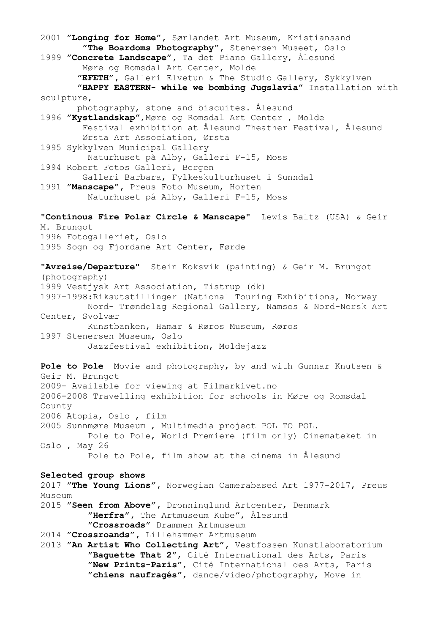2001 **"Longing for Home",** Sørlandet Art Museum, Kristiansand  **"The Boardoms Photography",** Stenersen Museet, Oslo 1999 **"Concrete Landscape",** Ta det Piano Gallery, Ålesund Møre og Romsdal Art Center, Molde  **"EFETH",** Galleri Elvetun & The Studio Gallery, Sykkylven  **"HAPPY EASTERN- while we bombing Jugslavia"** Installation with sculpture, photography, stone and biscuites. Ålesund 1996 **"Kystlandskap"**,Møre og Romsdal Art Center , Molde Festival exhibition at Ålesund Theather Festival, Ålesund Ørsta Art Association, Ørsta 1995 Sykkylven Municipal Gallery Naturhuset på Alby, Galleri F-15, Moss 1994 Robert Fotos Galleri, Bergen Galleri Barbara, Fylkeskulturhuset i Sunndal 1991 **"Manscape",** Preus Foto Museum, Horten Naturhuset på Alby, Galleri F-15, Moss **"Continous Fire Polar Circle & Manscape"** Lewis Baltz (USA) & Geir M. Brungot 1996 Fotogalleriet, Oslo 1995 Sogn og Fjordane Art Center, Førde **"Avreise/Departure"** Stein Koksvik (painting) & Geir M. Brungot (photography) 1999 Vestjysk Art Association, Tistrup (dk) 1997-1998:Riksutstillinger (National Touring Exhibitions, Norway Nord- Trøndelag Regional Gallery, Namsos & Nord-Norsk Art Center, Svolvær Kunstbanken, Hamar & Røros Museum, Røros 1997 Stenersen Museum, Oslo Jazzfestival exhibition, Moldejazz **Pole to Pole** Movie and photography, by and with Gunnar Knutsen & Geir M. Brungot 2009- Available for viewing at Filmarkivet.no 2006-2008 Travelling exhibition for schools in Møre og Romsdal County 2006 Atopia, Oslo , film 2005 Sunnmøre Museum , Multimedia project POL TO POL. Pole to Pole, World Premiere (film only) Cinemateket in Oslo , May 26 Pole to Pole, film show at the cinema in Ålesund **Selected group shows**  2017 **"The Young Lions",** Norwegian Camerabased Art 1977-2017, Preus Museum 2015 **"Seen from Above",** Dronninglund Artcenter, Denmark  **"Herfra",** The Artmuseum Kube", Ålesund  **"Crossroads"** Drammen Artmuseum 2014 **"Crossroands",** Lillehammer Artmuseum 2013 **"An Artist Who Collecting Art",** Vestfossen Kunstlaboratorium  **"Baguette That 2"**, Cité International des Arts, Paris  **"New Prints-Paris"**, Cité International des Arts, Paris  **"chiens naufragés"**, dance/video/photography, Move in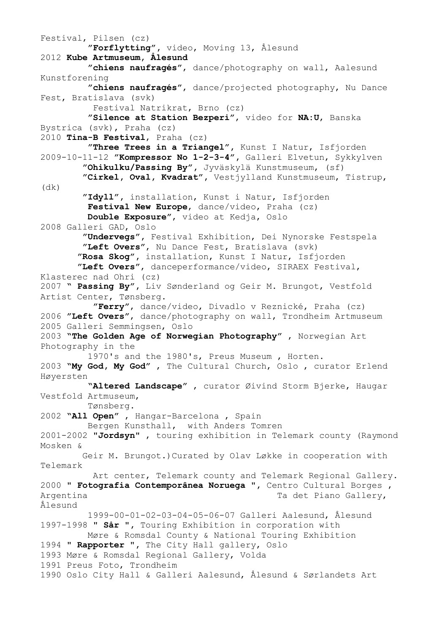Festival, Pilsen (cz)  **"Forflytting",** video, Moving 13, Ålesund 2012 **Kube Artmuseum, Ålesund "chiens naufragés"**, dance/photography on wall, Aalesund Kunstforening **"chiens naufragés"**, dance/projected photography, Nu Dance Fest, Bratislava (svk) Festival Natrikrat, Brno (cz) **"Silence at Station Bezperi"**, video for **NA:U**, Banska Bystrica (svk), Praha (cz) 2010 **Tina-B Festival**, Praha (cz) **"Three Trees in a Triangel",** Kunst I Natur, Isfjorden 2009-10-11-12 **"Kompressor No 1-2-3-4",** Galleri Elvetun, Sykkylven  **"Ohikulku/Passing By",** Jyväskylä Kunstmuseum, (sf)  **"Cirkel, Oval, Kvadrat",** Vestjylland Kunstmuseum, Tistrup, (dk)  **"Idyll",** installation, Kunst i Natur, Isfjorden **Festival New Europe**, dance/video, Praha (cz) **Double Exposure"**, video at Kedja, Oslo 2008 Galleri GAD, Oslo  **"Undervegs",** Festival Exhibition, Dei Nynorske Festspela **"Left Overs"**, Nu Dance Fest, Bratislava (svk)  **"Rosa Skog",** installation, Kunst I Natur, Isfjorden **"Left Overs"**, danceperformance/video, SIRAEX Festival, Klasterec nad Ohri (cz) 2007 **" Passing By",** Liv Sønderland og Geir M. Brungot, Vestfold Artist Center, Tønsberg. **"Ferry"**, dance/video, Divadlo v Reznické, Praha (cz) 2006 **"Left Overs"**, dance/photography on wall, Trondheim Artmuseum 2005 Galleri Semmingsen, Oslo 2003 **"The Golden Age of Norwegian Photography"** , Norwegian Art Photography in the 1970's and the 1980's, Preus Museum , Horten. 2003 **"My God, My God"** , The Cultural Church, Oslo , curator Erlend Høyersten  **"Altered Landscape"** , curator Øivind Storm Bjerke, Haugar Vestfold Artmuseum, Tønsberg. 2002 **"All Open"** , Hangar-Barcelona , Spain Bergen Kunsthall, with Anders Tomren 2001-2002 **"Jordsyn"** , touring exhibition in Telemark county (Raymond Mosken & Geir M. Brungot.)Curated by Olav Løkke in cooperation with Telemark Art center, Telemark county and Telemark Regional Gallery. 2000 **" Fotografia Contemporânea Noruega ",** Centro Cultural Borges , Argentina Ta det Piano Gallery, Ålesund 1999-00-01-02-03-04-05-06-07 Galleri Aalesund, Ålesund 1997-1998 **" Sår ",** Touring Exhibition in corporation with Møre & Romsdal County & National Touring Exhibition 1994 **" Rapporter ",** The City Hall gallery, Oslo 1993 Møre & Romsdal Regional Gallery, Volda 1991 Preus Foto, Trondheim 1990 Oslo City Hall & Galleri Aalesund, Ålesund & Sørlandets Art